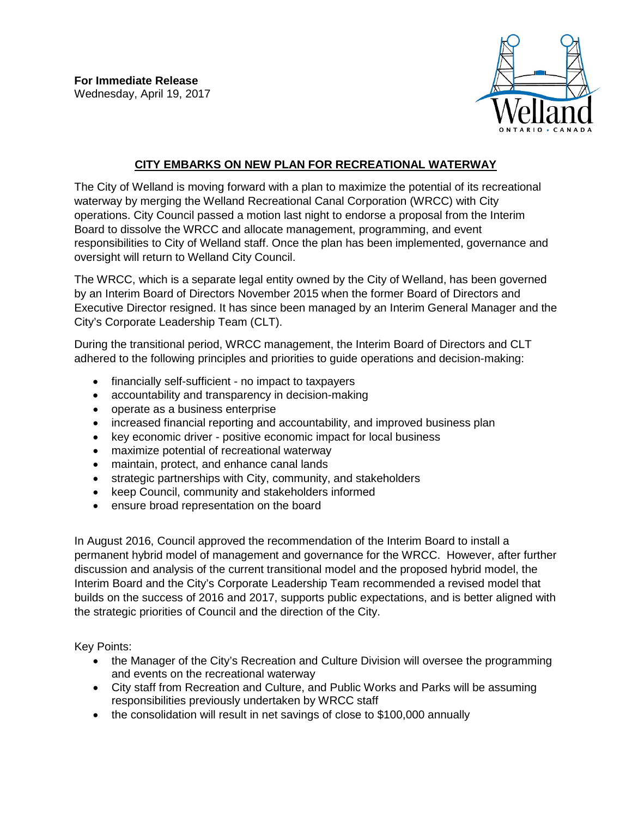

## **CITY EMBARKS ON NEW PLAN FOR RECREATIONAL WATERWAY**

The City of Welland is moving forward with a plan to maximize the potential of its recreational waterway by merging the Welland Recreational Canal Corporation (WRCC) with City operations. City Council passed a motion last night to endorse a proposal from the Interim Board to dissolve the WRCC and allocate management, programming, and event responsibilities to City of Welland staff. Once the plan has been implemented, governance and oversight will return to Welland City Council.

The WRCC, which is a separate legal entity owned by the City of Welland, has been governed by an Interim Board of Directors November 2015 when the former Board of Directors and Executive Director resigned. It has since been managed by an Interim General Manager and the City's Corporate Leadership Team (CLT).

During the transitional period, WRCC management, the Interim Board of Directors and CLT adhered to the following principles and priorities to guide operations and decision-making:

- financially self-sufficient no impact to taxpayers
- accountability and transparency in decision-making
- operate as a business enterprise
- increased financial reporting and accountability, and improved business plan
- key economic driver positive economic impact for local business
- maximize potential of recreational waterway
- maintain, protect, and enhance canal lands
- strategic partnerships with City, community, and stakeholders
- keep Council, community and stakeholders informed
- ensure broad representation on the board

In August 2016, Council approved the recommendation of the Interim Board to install a permanent hybrid model of management and governance for the WRCC. However, after further discussion and analysis of the current transitional model and the proposed hybrid model, the Interim Board and the City's Corporate Leadership Team recommended a revised model that builds on the success of 2016 and 2017, supports public expectations, and is better aligned with the strategic priorities of Council and the direction of the City.

Key Points:

- the Manager of the City's Recreation and Culture Division will oversee the programming and events on the recreational waterway
- City staff from Recreation and Culture, and Public Works and Parks will be assuming responsibilities previously undertaken by WRCC staff
- the consolidation will result in net savings of close to \$100,000 annually